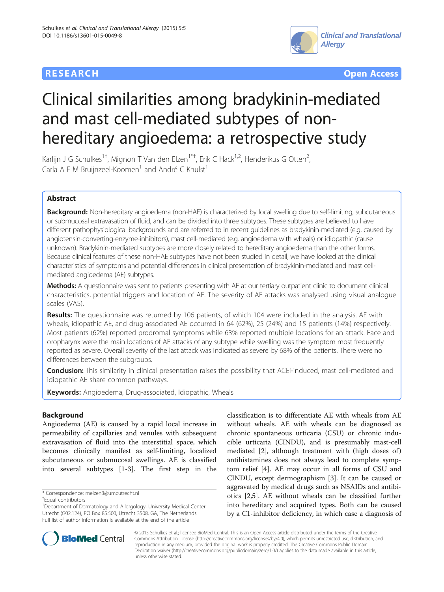



# Clinical similarities among bradykinin-mediated and mast cell-mediated subtypes of nonhereditary angioedema: a retrospective study

Karlijn J G Schulkes<sup>1†</sup>, Mignon T Van den Elzen<sup>1\*†</sup>, Erik C Hack<sup>1,2</sup>, Henderikus G Otten<sup>2</sup> , Carla A F M Bruijnzeel-Koomen<sup>1</sup> and André C Knulst<sup>1</sup>

# Abstract

Background: Non-hereditary angioedema (non-HAE) is characterized by local swelling due to self-limiting, subcutaneous or submucosal extravasation of fluid, and can be divided into three subtypes. These subtypes are believed to have different pathophysiological backgrounds and are referred to in recent guidelines as bradykinin-mediated (e.g. caused by angiotensin-converting-enzyme-inhibitors), mast cell-mediated (e.g. angioedema with wheals) or idiopathic (cause unknown). Bradykinin-mediated subtypes are more closely related to hereditary angioedema than the other forms. Because clinical features of these non-HAE subtypes have not been studied in detail, we have looked at the clinical characteristics of symptoms and potential differences in clinical presentation of bradykinin-mediated and mast cellmediated angioedema (AE) subtypes.

Methods: A questionnaire was sent to patients presenting with AE at our tertiary outpatient clinic to document clinical characteristics, potential triggers and location of AE. The severity of AE attacks was analysed using visual analogue scales (VAS).

Results: The questionnaire was returned by 106 patients, of which 104 were included in the analysis. AE with wheals, idiopathic AE, and drug-associated AE occurred in 64 (62%), 25 (24%) and 15 patients (14%) respectively. Most patients (62%) reported prodromal symptoms while 63% reported multiple locations for an attack. Face and oropharynx were the main locations of AE attacks of any subtype while swelling was the symptom most frequently reported as severe. Overall severity of the last attack was indicated as severe by 68% of the patients. There were no differences between the subgroups.

Conclusion: This similarity in clinical presentation raises the possibility that ACEi-induced, mast cell-mediated and idiopathic AE share common pathways.

Keywords: Angioedema, Drug-associated, Idiopathic, Wheals

# Background

Angioedema (AE) is caused by a rapid local increase in permeability of capillaries and venules with subsequent extravasation of fluid into the interstitial space, which becomes clinically manifest as self-limiting, localized subcutaneous or submucosal swellings. AE is classified into several subtypes [[1-3](#page-7-0)]. The first step in the

\* Correspondence: [melzen3@umcutrecht.nl](mailto:melzen3@umcutrecht.nl) †

classification is to differentiate AE with wheals from AE without wheals. AE with wheals can be diagnosed as chronic spontaneous urticaria (CSU) or chronic inducible urticaria (CINDU), and is presumably mast-cell mediated [\[2](#page-7-0)], although treatment with (high doses of) antihistamines does not always lead to complete symptom relief [[4](#page-7-0)]. AE may occur in all forms of CSU and CINDU, except dermographism [\[3](#page-7-0)]. It can be caused or aggravated by medical drugs such as NSAIDs and antibiotics [\[2,5](#page-7-0)]. AE without wheals can be classified further into hereditary and acquired types. Both can be caused by a C1-inhibitor deficiency, in which case a diagnosis of



© 2015 Schulkes et al.; licensee BioMed Central. This is an Open Access article distributed under the terms of the Creative Commons Attribution License [\(http://creativecommons.org/licenses/by/4.0\)](http://creativecommons.org/licenses/by/4.0), which permits unrestricted use, distribution, and reproduction in any medium, provided the original work is properly credited. The Creative Commons Public Domain Dedication waiver [\(http://creativecommons.org/publicdomain/zero/1.0/](http://creativecommons.org/publicdomain/zero/1.0/)) applies to the data made available in this article, unless otherwise stated.

Equal contributors

<sup>&</sup>lt;sup>1</sup>Department of Dermatology and Allergology, University Medical Center Utrecht (G02.124), PO Box 85.500, Utrecht 3508, GA, The Netherlands Full list of author information is available at the end of the article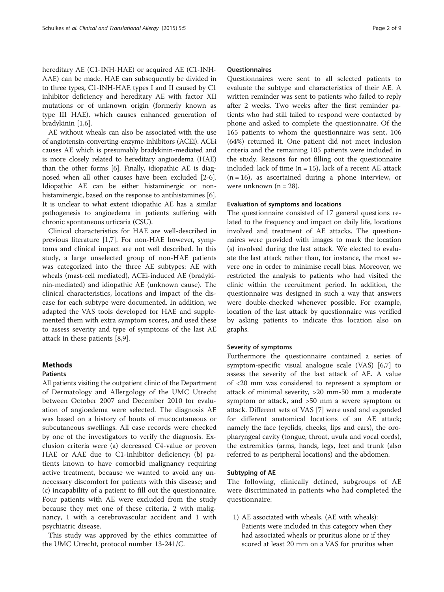hereditary AE (C1-INH-HAE) or acquired AE (C1-INH-AAE) can be made. HAE can subsequently be divided in to three types, C1-INH-HAE types I and II caused by C1 inhibitor deficiency and hereditary AE with factor XII mutations or of unknown origin (formerly known as type III HAE), which causes enhanced generation of bradykinin [\[1,6](#page-7-0)].

AE without wheals can also be associated with the use of angiotensin-converting-enzyme-inhibitors (ACEi). ACEi causes AE which is presumably bradykinin-mediated and is more closely related to hereditary angioedema (HAE) than the other forms [\[6](#page-7-0)]. Finally, idiopathic AE is diagnosed when all other causes have been excluded [\[2](#page-7-0)-[6](#page-7-0)]. Idiopathic AE can be either histaminergic or non-histaminergic, based on the response to antihistamines [[6](#page-7-0)]. It is unclear to what extent idiopathic AE has a similar pathogenesis to angioedema in patients suffering with chronic spontaneous urticaria (CSU).

Clinical characteristics for HAE are well-described in previous literature [[1,7\]](#page-7-0). For non-HAE however, symptoms and clinical impact are not well described. In this study, a large unselected group of non-HAE patients was categorized into the three AE subtypes: AE with wheals (mast-cell mediated), ACEi-induced AE (bradykinin-mediated) and idiopathic AE (unknown cause). The clinical characteristics, locations and impact of the disease for each subtype were documented. In addition, we adapted the VAS tools developed for HAE and supplemented them with extra symptom scores, and used these to assess severity and type of symptoms of the last AE attack in these patients [\[8,9](#page-7-0)].

# Methods

# Patients

All patients visiting the outpatient clinic of the Department of Dermatology and Allergology of the UMC Utrecht between October 2007 and December 2010 for evaluation of angioedema were selected. The diagnosis AE was based on a history of bouts of mucocutaneous or subcutaneous swellings. All case records were checked by one of the investigators to verify the diagnosis. Exclusion criteria were (a) decreased C4-value or proven HAE or AAE due to C1-inhibitor deficiency; (b) patients known to have comorbid malignancy requiring active treatment, because we wanted to avoid any unnecessary discomfort for patients with this disease; and (c) incapability of a patient to fill out the questionnaire. Four patients with AE were excluded from the study because they met one of these criteria, 2 with malignancy, 1 with a cerebrovascular accident and 1 with psychiatric disease.

This study was approved by the ethics committee of the UMC Utrecht, protocol number 13-241/C.

#### Questionnaires

Questionnaires were sent to all selected patients to evaluate the subtype and characteristics of their AE. A written reminder was sent to patients who failed to reply after 2 weeks. Two weeks after the first reminder patients who had still failed to respond were contacted by phone and asked to complete the questionnaire. Of the 165 patients to whom the questionnaire was sent, 106 (64%) returned it. One patient did not meet inclusion criteria and the remaining 105 patients were included in the study. Reasons for not filling out the questionnaire included: lack of time  $(n = 15)$ , lack of a recent AE attack  $(n = 16)$ , as ascertained during a phone interview, or were unknown  $(n = 28)$ .

#### Evaluation of symptoms and locations

The questionnaire consisted of 17 general questions related to the frequency and impact on daily life, locations involved and treatment of AE attacks. The questionnaires were provided with images to mark the location (s) involved during the last attack. We elected to evaluate the last attack rather than, for instance, the most severe one in order to minimise recall bias. Moreover, we restricted the analysis to patients who had visited the clinic within the recruitment period. In addition, the questionnaire was designed in such a way that answers were double-checked whenever possible. For example, location of the last attack by questionnaire was verified by asking patients to indicate this location also on graphs.

# Severity of symptoms

Furthermore the questionnaire contained a series of symptom-specific visual analogue scale (VAS) [[6,7\]](#page-7-0) to assess the severity of the last attack of AE. A value of <20 mm was considered to represent a symptom or attack of minimal severity, >20 mm-50 mm a moderate symptom or attack, and >50 mm a severe symptom or attack. Different sets of VAS [[7\]](#page-7-0) were used and expanded for different anatomical locations of an AE attack; namely the face (eyelids, cheeks, lips and ears), the oropharyngeal cavity (tongue, throat, uvula and vocal cords), the extremities (arms, hands, legs, feet and trunk (also referred to as peripheral locations) and the abdomen.

### Subtyping of AE

The following, clinically defined, subgroups of AE were discriminated in patients who had completed the questionnaire:

1) AE associated with wheals, (AE with wheals): Patients were included in this category when they had associated wheals or pruritus alone or if they scored at least 20 mm on a VAS for pruritus when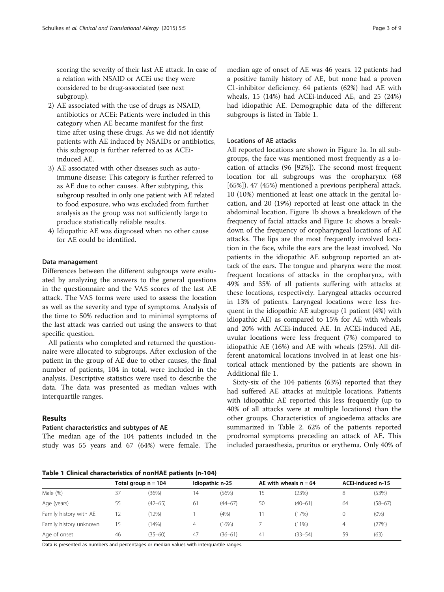scoring the severity of their last AE attack. In case of a relation with NSAID or ACEi use they were considered to be drug-associated (see next subgroup).

- 2) AE associated with the use of drugs as NSAID, antibiotics or ACEi: Patients were included in this category when AE became manifest for the first time after using these drugs. As we did not identify patients with AE induced by NSAIDs or antibiotics, this subgroup is further referred to as ACEiinduced AE.
- 3) AE associated with other diseases such as autoimmune disease: This category is further referred to as AE due to other causes. After subtyping, this subgroup resulted in only one patient with AE related to food exposure, who was excluded from further analysis as the group was not sufficiently large to produce statistically reliable results.
- 4) Idiopathic AE was diagnosed when no other cause for AE could be identified.

#### Data management

Differences between the different subgroups were evaluated by analyzing the answers to the general questions in the questionnaire and the VAS scores of the last AE attack. The VAS forms were used to assess the location as well as the severity and type of symptoms. Analysis of the time to 50% reduction and to minimal symptoms of the last attack was carried out using the answers to that specific question.

All patients who completed and returned the questionnaire were allocated to subgroups. After exclusion of the patient in the group of AE due to other causes, the final number of patients, 104 in total, were included in the analysis. Descriptive statistics were used to describe the data. The data was presented as median values with interquartile ranges.

# Results

#### Patient characteristics and subtypes of AE

The median age of the 104 patients included in the study was 55 years and 67 (64%) were female. The

median age of onset of AE was 46 years. 12 patients had a positive family history of AE, but none had a proven C1-inhibitor deficiency. 64 patients (62%) had AE with wheals, 15 (14%) had ACEi-induced AE, and 25 (24%) had idiopathic AE. Demographic data of the different subgroups is listed in Table 1.

## Locations of AE attacks

All reported locations are shown in Figure [1a](#page-3-0). In all subgroups, the face was mentioned most frequently as a location of attacks (96 [92%]). The second most frequent location for all subgroups was the oropharynx (68 [65%]). 47 (45%) mentioned a previous peripheral attack. 10 (10%) mentioned at least one attack in the genital location, and 20 (19%) reported at least one attack in the abdominal location. Figure [1b](#page-3-0) shows a breakdown of the frequency of facial attacks and Figure [1c](#page-3-0) shows a breakdown of the frequency of oropharyngeal locations of AE attacks. The lips are the most frequently involved location in the face, while the ears are the least involved. No patients in the idiopathic AE subgroup reported an attack of the ears. The tongue and pharynx were the most frequent locations of attacks in the oropharynx, with 49% and 35% of all patients suffering with attacks at these locations, respectively. Laryngeal attacks occurred in 13% of patients. Laryngeal locations were less frequent in the idiopathic AE subgroup (1 patient (4%) with idiopathic AE) as compared to 15% for AE with wheals and 20% with ACEi-induced AE. In ACEi-induced AE, uvular locations were less frequent (7%) compared to idiopathic AE (16%) and AE with wheals (25%). All different anatomical locations involved in at least one historical attack mentioned by the patients are shown in Additional file [1](#page-7-0).

Sixty-six of the 104 patients (63%) reported that they had suffered AE attacks at multiple locations. Patients with idiopathic AE reported this less frequently (up to 40% of all attacks were at multiple locations) than the other groups. Characteristics of angioedema attacks are summarized in Table [2](#page-4-0). 62% of the patients reported prodromal symptoms preceding an attack of AE. This included paraesthesia, pruritus or erythema. Only 40% of

Table 1 Clinical characteristics of nonHAE patients (n-104)

|                        | Total group n = 104 |             | Idiopathic n-25 |             | AE with wheals $n = 64$ |             | ACEi-induced n-15 |             |  |  |  |
|------------------------|---------------------|-------------|-----------------|-------------|-------------------------|-------------|-------------------|-------------|--|--|--|
| Male $(%)$             | 37                  | (36%)       | 14              | (56%)       | 15                      | (23%)       | 8                 | (53%)       |  |  |  |
| Age (years)            | 55                  | $(42 - 65)$ | 61              | $(44 - 67)$ | 50                      | $(40 - 61)$ | 64                | $(58 - 67)$ |  |  |  |
| Family history with AE | $\overline{2}$      | 2%          |                 | (4% )       |                         | (17%)       |                   | $(0\%)$     |  |  |  |
| Family history unknown | 5                   | 14%         | 4               | (16%)       |                         | (11%)       | 4                 | (27%)       |  |  |  |
| Age of onset           | 46                  | (35–60)     | 47              | $(36 - 61)$ | 41                      | $(33 - 54)$ | 59                | (63)        |  |  |  |

Data is presented as numbers and percentages or median values with interquartile ranges.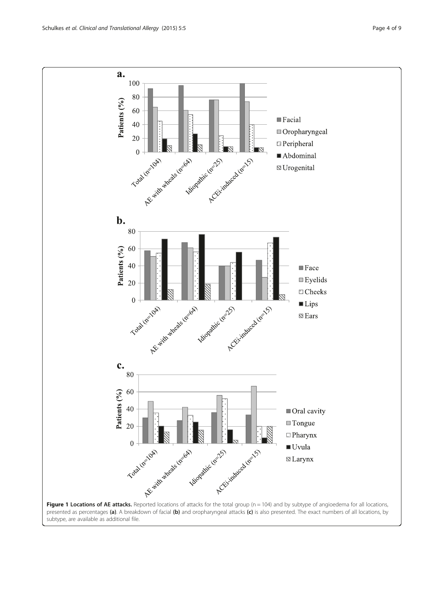<span id="page-3-0"></span>

subtype, are available as additional file.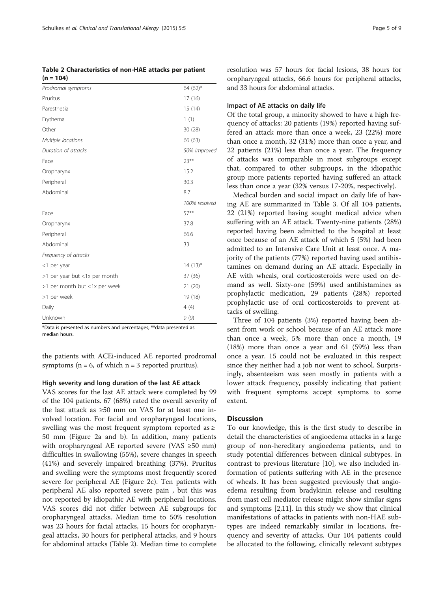<span id="page-4-0"></span>Table 2 Characteristics of non-HAE attacks per patient  $(n = 104)$ 

| Prodromal symptoms            | 64 $(62)$ *   |
|-------------------------------|---------------|
| Pruritus                      | 17 (16)       |
| Paresthesia                   | 15 (14)       |
| Erythema                      | 1(1)          |
| Other                         | 30(28)        |
| Multiple locations            | 66 (63)       |
| Duration of attacks           | 50% improved  |
| Face                          | $23***$       |
| Oropharynx                    | 15.2          |
| Peripheral                    | 30.3          |
| Abdominal                     | 8.7           |
|                               | 100% resolved |
| Face                          | 57**          |
| Oropharynx                    | 37.8          |
| Peripheral                    | 66.6          |
| Abdominal                     | 33            |
| Frequency of attacks          |               |
| <1 per year                   | $14(13)*$     |
| >1 per year but <1x per month | 37 (36)       |
| >1 per month but <1x per week | 21(20)        |
| >1 per week                   | 19 (18)       |
| Daily                         | 4(4)          |
| Unknown                       | 9(9)          |

\*Data is presented as numbers and percentages; \*\*data presented as median hours.

the patients with ACEi-induced AE reported prodromal symptoms ( $n = 6$ , of which  $n = 3$  reported pruritus).

#### High severity and long duration of the last AE attack

VAS scores for the last AE attack were completed by 99 of the 104 patients. 67 (68%) rated the overall severity of the last attack as ≥50 mm on VAS for at least one involved location. For facial and oropharyngeal locations, swelling was the most frequent symptom reported as ≥ 50 mm (Figure [2a](#page-5-0) and b). In addition, many patients with oropharyngeal AE reported severe (VAS ≥50 mm) difficulties in swallowing (55%), severe changes in speech (41%) and severely impaired breathing (37%). Pruritus and swelling were the symptoms most frequently scored severe for peripheral AE (Figure [2](#page-5-0)c). Ten patients with peripheral AE also reported severe pain , but this was not reported by idiopathic AE with peripheral locations. VAS scores did not differ between AE subgroups for oropharyngeal attacks. Median time to 50% resolution was 23 hours for facial attacks, 15 hours for oropharyngeal attacks, 30 hours for peripheral attacks, and 9 hours for abdominal attacks (Table 2). Median time to complete resolution was 57 hours for facial lesions, 38 hours for oropharyngeal attacks, 66.6 hours for peripheral attacks, and 33 hours for abdominal attacks.

# Impact of AE attacks on daily life

Of the total group, a minority showed to have a high frequency of attacks: 20 patients (19%) reported having suffered an attack more than once a week, 23 (22%) more than once a month, 32 (31%) more than once a year, and 22 patients (21%) less than once a year. The frequency of attacks was comparable in most subgroups except that, compared to other subgroups, in the idiopathic group more patients reported having suffered an attack less than once a year (32% versus 17-20%, respectively).

Medical burden and social impact on daily life of having AE are summarized in Table [3](#page-6-0). Of all 104 patients, 22 (21%) reported having sought medical advice when suffering with an AE attack. Twenty-nine patients (28%) reported having been admitted to the hospital at least once because of an AE attack of which 5 (5%) had been admitted to an Intensive Care Unit at least once. A majority of the patients (77%) reported having used antihistamines on demand during an AE attack. Especially in AE with wheals, oral corticosteroids were used on demand as well. Sixty-one (59%) used antihistamines as prophylactic medication, 29 patients (28%) reported prophylactic use of oral corticosteroids to prevent attacks of swelling.

Three of 104 patients (3%) reported having been absent from work or school because of an AE attack more than once a week, 5% more than once a month, 19 (18%) more than once a year and 61 (59%) less than once a year. 15 could not be evaluated in this respect since they neither had a job nor went to school. Surprisingly, absenteeism was seen mostly in patients with a lower attack frequency, possibly indicating that patient with frequent symptoms accept symptoms to some extent.

# **Discussion**

To our knowledge, this is the first study to describe in detail the characteristics of angioedema attacks in a large group of non-hereditary angioedema patients, and to study potential differences between clinical subtypes. In contrast to previous literature [[10](#page-7-0)], we also included information of patients suffering with AE in the presence of wheals. It has been suggested previously that angioedema resulting from bradykinin release and resulting from mast cell mediator release might show similar signs and symptoms [\[2,11](#page-7-0)]. In this study we show that clinical manifestations of attacks in patients with non-HAE subtypes are indeed remarkably similar in locations, frequency and severity of attacks. Our 104 patients could be allocated to the following, clinically relevant subtypes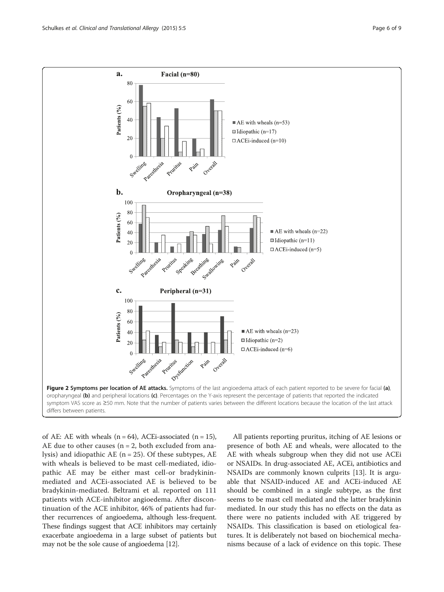<span id="page-5-0"></span>

of AE: AE with wheals  $(n = 64)$ , ACEi-associated  $(n = 15)$ , AE due to other causes ( $n = 2$ , both excluded from analysis) and idiopathic  $AE$  (n = 25). Of these subtypes,  $AE$ with wheals is believed to be mast cell-mediated, idiopathic AE may be either mast cell-or bradykininmediated and ACEi-associated AE is believed to be bradykinin-mediated. Beltrami et al. reported on 111 patients with ACE-inhibitor angioedema. After discontinuation of the ACE inhibitor, 46% of patients had further recurrences of angioedema, although less-frequent. These findings suggest that ACE inhibitors may certainly exacerbate angioedema in a large subset of patients but may not be the sole cause of angioedema [[12](#page-7-0)].

All patients reporting pruritus, itching of AE lesions or presence of both AE and wheals, were allocated to the AE with wheals subgroup when they did not use ACEi or NSAIDs. In drug-associated AE, ACEi, antibiotics and NSAIDs are commonly known culprits [[13](#page-8-0)]. It is arguable that NSAID-induced AE and ACEi-induced AE should be combined in a single subtype, as the first seems to be mast cell mediated and the latter bradykinin mediated. In our study this has no effects on the data as there were no patients included with AE triggered by NSAIDs. This classification is based on etiological features. It is deliberately not based on biochemical mechanisms because of a lack of evidence on this topic. These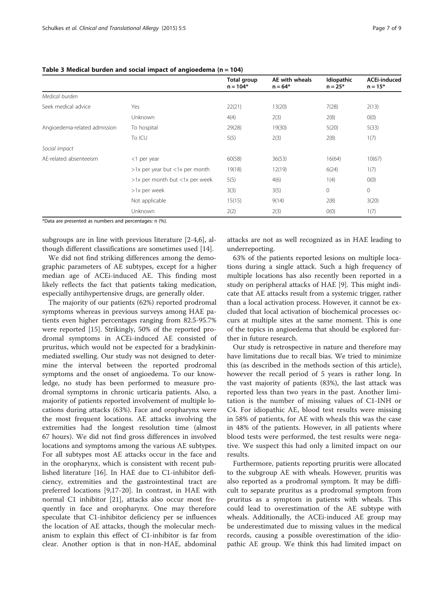|                              |                                | Total group<br>$n = 104*$ | AE with wheals<br>$n = 64*$ | Idiopathic<br>$n = 25*$ | <b>ACEi-induced</b><br>$n = 15*$ |
|------------------------------|--------------------------------|---------------------------|-----------------------------|-------------------------|----------------------------------|
| Medical burden               |                                |                           |                             |                         |                                  |
| Seek medical advice          | Yes                            | 22(21)                    | 13(20)                      | 7(28)                   | 2(13)                            |
|                              | <b>Unknown</b>                 | 4(4)                      | 2(3)                        | 2(8)                    | O(0)                             |
| Angioedema-related admission | To hospital                    | 29(28)                    | 19(30)                      | 5(20)                   | 5(33)                            |
|                              | To ICU                         | 5(5)                      | 2(3)                        | 2(8)                    | 1(7)                             |
| Social impact                |                                |                           |                             |                         |                                  |
| AF-related absenteeism       | $<$ 1 per year                 | 60(58)                    | 36(53)                      | 16(64)                  | 10(67)                           |
|                              | >1x per year but <1x per month | 19(18)                    | 12(19)                      | 6(24)                   | 1(7)                             |
|                              | >1x per month but <1x per week | 5(5)                      | 4(6)                        | 1(4)                    | O(0)                             |
|                              | >1x per week                   | 3(3)                      | 3(5)                        | $\circ$                 | $\mathbf 0$                      |
|                              | Not applicable                 | 15(15)                    | 9(14)                       | 2(8)                    | 3(20)                            |
|                              | Unknown                        | 2(2)                      | 2(3)                        | O(0)                    | 1(7)                             |

#### <span id="page-6-0"></span>Table 3 Medical burden and social impact of angioedema ( $n = 104$ )

\*Data are presented as numbers and percentages: n (%).

subgroups are in line with previous literature [[2-4,6](#page-7-0)], although different classifications are sometimes used [[14](#page-8-0)].

We did not find striking differences among the demographic parameters of AE subtypes, except for a higher median age of ACEi-induced AE. This finding most likely reflects the fact that patients taking medication, especially antihypertensive drugs, are generally older.

The majority of our patients (62%) reported prodromal symptoms whereas in previous surveys among HAE patients even higher percentages ranging from 82.5-95.7% were reported [[15](#page-8-0)]. Strikingly, 50% of the reported prodromal symptoms in ACEi-induced AE consisted of pruritus, which would not be expected for a bradykininmediated swelling. Our study was not designed to determine the interval between the reported prodromal symptoms and the onset of angioedema. To our knowledge, no study has been performed to measure prodromal symptoms in chronic urticaria patients. Also, a majority of patients reported involvement of multiple locations during attacks (63%). Face and oropharynx were the most frequent locations. AE attacks involving the extremities had the longest resolution time (almost 67 hours). We did not find gross differences in involved locations and symptoms among the various AE subtypes. For all subtypes most AE attacks occur in the face and in the oropharynx, which is consistent with recent published literature [\[16](#page-8-0)]. In HAE due to C1-inhibitor deficiency, extremities and the gastrointestinal tract are preferred locations [[9,](#page-7-0)[17-20\]](#page-8-0). In contrast, in HAE with normal C1 inhibitor [\[21](#page-8-0)], attacks also occur most frequently in face and oropharynx. One may therefore speculate that C1-inhibitor deficiency per se influences the location of AE attacks, though the molecular mechanism to explain this effect of C1-inhibitor is far from clear. Another option is that in non-HAE, abdominal

attacks are not as well recognized as in HAE leading to underreporting.

63% of the patients reported lesions on multiple locations during a single attack. Such a high frequency of multiple locations has also recently been reported in a study on peripheral attacks of HAE [\[9](#page-7-0)]. This might indicate that AE attacks result from a systemic trigger, rather than a local activation process. However, it cannot be excluded that local activation of biochemical processes occurs at multiple sites at the same moment. This is one of the topics in angioedema that should be explored further in future research.

Our study is retrospective in nature and therefore may have limitations due to recall bias. We tried to minimize this (as described in the methods section of this article), however the recall period of 5 years is rather long. In the vast majority of patients (83%), the last attack was reported less than two years in the past. Another limitation is the number of missing values of C1-INH or C4. For idiopathic AE, blood test results were missing in 58% of patients, for AE with wheals this was the case in 48% of the patients. However, in all patients where blood tests were performed, the test results were negative. We suspect this had only a limited impact on our results.

Furthermore, patients reporting pruritis were allocated to the subgroup AE with wheals. However, pruritis was also reported as a prodromal symptom. It may be difficult to separate pruritus as a prodromal symptom from pruritus as a symptom in patients with wheals. This could lead to overestimation of the AE subtype with wheals. Additionally, the ACEi-induced AE group may be underestimated due to missing values in the medical records, causing a possible overestimation of the idiopathic AE group. We think this had limited impact on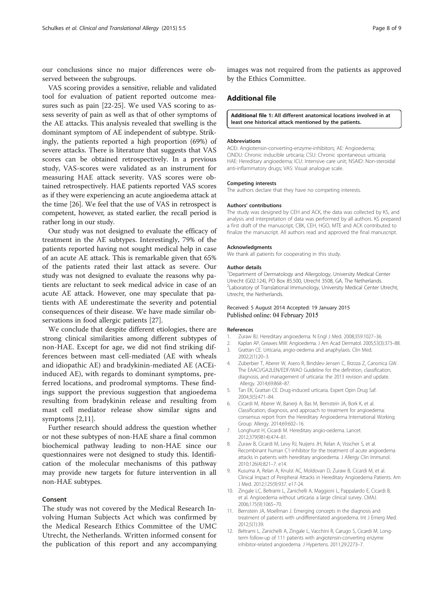<span id="page-7-0"></span>our conclusions since no major differences were observed between the subgroups.

VAS scoring provides a sensitive, reliable and validated tool for evaluation of patient reported outcome measures such as pain [[22-25\]](#page-8-0). We used VAS scoring to assess severity of pain as well as that of other symptoms of the AE attacks. This analysis revealed that swelling is the dominant symptom of AE independent of subtype. Strikingly, the patients reported a high proportion (69%) of severe attacks. There is literature that suggests that VAS scores can be obtained retrospectively. In a previous study, VAS-scores were validated as an instrument for measuring HAE attack severity. VAS scores were obtained retrospectively. HAE patients reported VAS scores as if they were experiencing an acute angioedema attack at the time [\[26\]](#page-8-0). We feel that the use of VAS in retrospect is competent, however, as stated earlier, the recall period is rather long in our study.

Our study was not designed to evaluate the efficacy of treatment in the AE subtypes. Interestingly, 79% of the patients reported having not sought medical help in case of an acute AE attack. This is remarkable given that 65% of the patients rated their last attack as severe. Our study was not designed to evaluate the reasons why patients are reluctant to seek medical advice in case of an acute AE attack. However, one may speculate that patients with AE underestimate the severity and potential consequences of their disease. We have made similar observations in food allergic patients [\[27](#page-8-0)].

We conclude that despite different etiologies, there are strong clinical similarities among different subtypes of non-HAE. Except for age, we did not find striking differences between mast cell-mediated (AE with wheals and idiopathic AE) and bradykinin-mediated AE (ACEiinduced AE), with regards to dominant symptoms, preferred locations, and prodromal symptoms. These findings support the previous suggestion that angioedema resulting from bradykinin release and resulting from mast cell mediator release show similar signs and symptoms [2,11].

Further research should address the question whether or not these subtypes of non-HAE share a final common biochemical pathway leading to non-HAE since our questionnaires were not designed to study this. Identification of the molecular mechanisms of this pathway may provide new targets for future intervention in all non-HAE subtypes.

### Consent

The study was not covered by the Medical Research Involving Human Subjects Act which was confirmed by the Medical Research Ethics Committee of the UMC Utrecht, the Netherlands. Written informed consent for the publication of this report and any accompanying images was not required from the patients as approved by the Ethics Committee.

# Additional file

#### [Additional file 1:](http://www.ctajournal.com/content/supplementary/s13601-015-0049-8-s1.docx) All different anatomical locations involved in at least one historical attack mentioned by the patients.

#### Abbreviations

ACEi: Angiotensin-converting-enzyme-inhibitors; AE: Angioedema; CINDU: Chronic inducible urticaria; CSU: Chronic spontaneous urticaria; HAE: Hereditary angioedema; ICU: Intensive care unit; NSAID: Non-steroidal anti-inflammatory drugs; VAS: Visual analogue scale.

#### Competing interests

The authors declare that they have no competing interests.

#### Authors' contributions

The study was designed by CEH and ACK, the data was collected by KS, and analysis and interpretation of data was performed by all authors. KS prepared a first draft of the manuscript, CBK, CEH, HGO, MTE and ACK contributed to finalize the manuscript. All authors read and approved the final manuscript.

#### Acknowledgments

We thank all patients for cooperating in this study.

#### Author details

<sup>1</sup>Department of Dermatology and Allergology, University Medical Center Utrecht (G02.124), PO Box 85.500, Utrecht 3508, GA, The Netherlands. <sup>2</sup> Laboratory of Translational Immunology, University Medical Center Utrecht, Utrecht, the Netherlands.

#### Received: 5 August 2014 Accepted: 19 January 2015 Published online: 04 February 2015

#### References

- 1. Zuraw BJ. Hereditary angioedema. N Engl J Med. 2008;359:1027–36.
- 2. Kaplan AP, Greaves MW. Angioedema. J Am Acad Dermatol. 2005;53(3):373–88.
- 3. Grattan CE. Urticaria, angio-oedema and anaphylaxis. Clin Med. 2002;2(1):20–3.
- 4. Zuberbier T, Aberer W, Asero R, Bindslev-Jensen C, Brzoza Z, Canonica GW. The EAACI/GA2LEN/EDF/WAO Guideline for the definition, classification, diagnosis, and management of urticaria: the 2013 revision and update. Allergy. 2014;69:868–87.
- 5. Tan EK, Grattan CE. Drug-induced urticaria. Expert Opin Drug Saf. 2004;3(5):471–84.
- 6. Cicardi M, Aberer W, Banerji A, Bas M, Bernstein JA, Bork K, et al. Classification, diagnosis, and approach to treatment for angioedema: consensus report from the Hereditary Angioedema International Working Group. Allergy. 2014;69:602–16.
- 7. Longhurst H, Cicardi M. Hereditary angio-oedema. Lancet. 2012;379(9814):474–81.
- 8. Zuraw B, Cicardi M, Levy RJ, Nuijens JH, Relan A, Visscher S, et al. Recombinant human C1-inhibitor for the treatment of acute angioedema attacks in patients with hereditary angioedema. J Allergy Clin Immunol. 2010;126(4):821–7. e14.
- 9. Kusuma A, Relan A, Knulst AC, Moldovan D, Zuraw B, Cicardi M, et al. Clinical Impact of Peripheral Attacks in Hereditary Angioedema Patients. Am J Med. 2012;125(9):937. e17-24.
- 10. Zingale LC, Beltrami L, Zanichelli A, Maggioni L, Pappalardo E, Cicardi B, et al. Angioedema without urticaria: a large clinical survey. CMAJ. 2006;175(9):1065–70.
- 11. Bernstein JA, Moellman J. Emerging concepts in the diagnosis and treatment of patients with undifferentiated angioedema. Int J Emerg Med. 2012;5(1):39.
- 12. Beltrami L, Zanichelli A, Zingale L, Vacchini R, Carugo S, Cicardi M. Longterm follow-up of 111 patients with angiotensin-converting enzyme inhibitor-related angioedema. J Hypertens. 2011;29:2273–7.